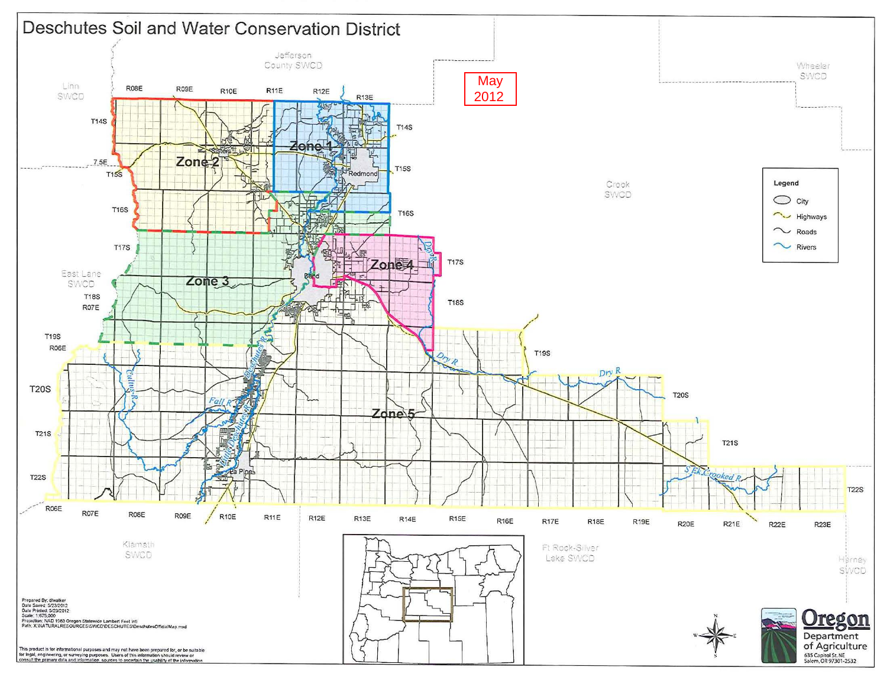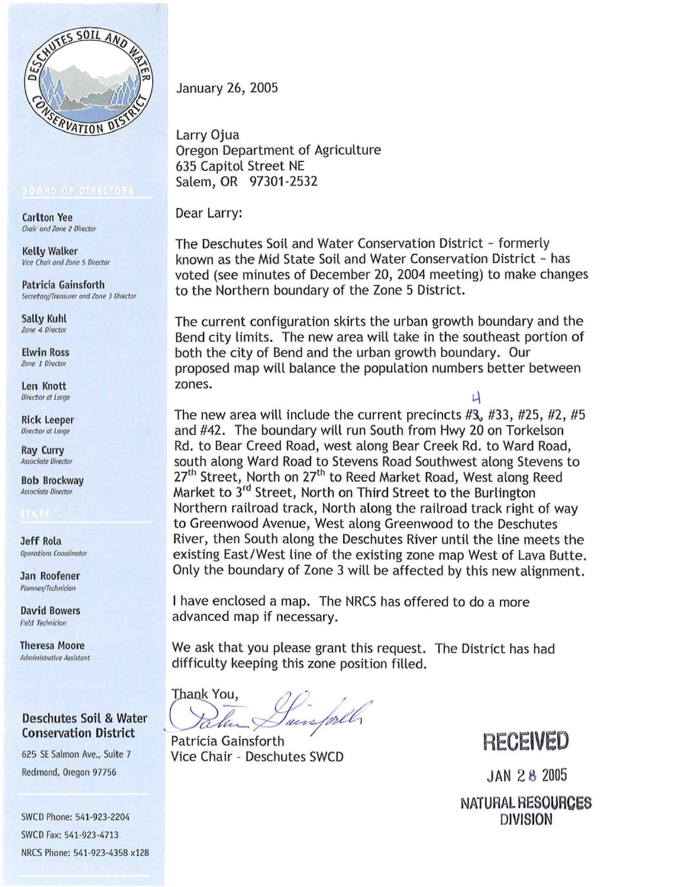

Carlton Vee Chair and Zone 2 Director

Kelly Walker Vice Chair and Zone 5 Director

Patricia Gainsforth Secretary/Treasurer and Zone 3 Director

Sally Kuhl Zone 4 Director

Elwin Ross Zone 1 Director

Len Knott Director at Large

Rick Leeper Director at Lorge

Ray Curry Associate Director

Bob Brockway Associate Director

Jeff Rola Operotioos Coordinator

Jan Roofener Planner/Technician

David Bowers **Field Technician** 

Theresa Moore Administrative Assistant

## Deschutes Soil & Water Conservation District

'

625 SE Salmon Ave., Suite 7 Redmond, Oregon 97756

SWCD Phone: 541-923-2204 SWCD Fax: 541-923-4713 NRCS Phone: 541-923-4358 x128 January 26, 2005

Larry Ojua Oregon Department of Agriculture 635 Capitol Street NE Salem, OR 97301-2532

Dear Larry:

The Deschutes Soil and Water Conservation District ~ formerly known as the Mid State Soil and Water Conservation District ~ has voted (see minutes of December 20, 2004 meeting) to make changes to the Northern boundary of the Zone 5 District.

The current configuration skirts the urban growth boundary and the Bend city limits. The new area will take in the southeast portion of both the city of Bend and the urban growth boundary. Our proposed map will balance the population numbers better between zones.

 $\mathbf{r}$ The new area will include the current precincts  $#3, #33, #25, #2, #5$ and #42. The boundary will run South from Hwy 20 on Torkelson Rd. to Bear Creed Road, west along Bear Creek Rd. to Ward Road, south along Ward Road to Stevens Road Southwest along Stevens to 27<sup>th</sup> Street, North on 27<sup>th</sup> to Reed Market Road, West along Reed Market to 3rd Street, North on Third Street to the Burlington Northern railroad track, North along the railroad track right of way to Greenwood Avenue, West along Greenwood to the Deschutes River, then South along the Deschutes River until the line meets the existing East/West line of the existing zone map West of Lava Butte. Only the boundary of Zone 3 will be affected by this new alignment.

I have enclosed a map. The NRCS has offered to do a more advanced map if necessary.

We ask that you please grant this request. The District has had difficulty keeping this zone position filled.

Thank You, Dain forll

Patricia Gainsforth Vice Chair - Deschutes SWCD

**RECEIVED** 

JAN 28 2005 NATURAL **RESOURCES**  DIVISION